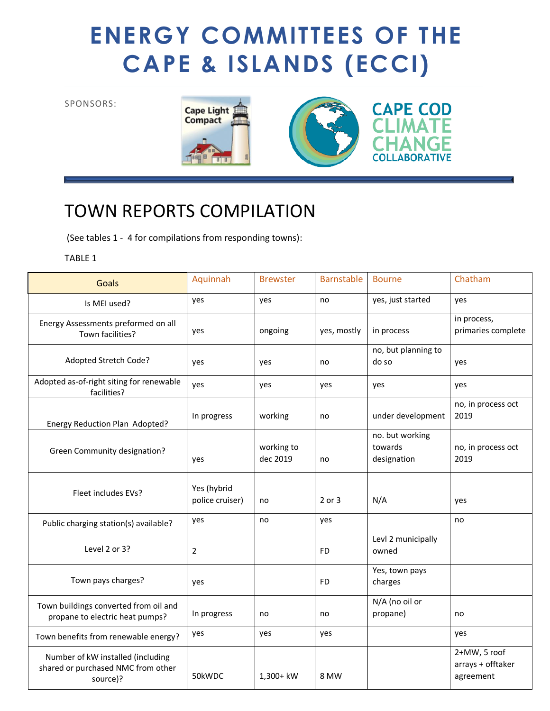## **ENERGY COMMITTEES OF THE CAPE & ISLANDS (ECCI)**

## SPONSORS:





## TOWN REPORTS COMPILATION

(See tables 1 - 4 for compilations from responding towns):

## TABLE 1

| <b>Goals</b>                                                                        | Aquinnah                       | <b>Brewster</b>        | <b>Barnstable</b> | <b>Bourne</b>                             | Chatham                                        |
|-------------------------------------------------------------------------------------|--------------------------------|------------------------|-------------------|-------------------------------------------|------------------------------------------------|
| Is MEI used?                                                                        | yes                            | yes                    | no                | yes, just started                         | yes                                            |
| Energy Assessments preformed on all<br>Town facilities?                             | yes                            | ongoing                | yes, mostly       | in process                                | in process,<br>primaries complete              |
| Adopted Stretch Code?                                                               | yes                            | yes                    | no                | no, but planning to<br>do so              | yes                                            |
| Adopted as-of-right siting for renewable<br>facilities?                             | yes                            | yes                    | yes               | yes                                       | yes                                            |
| Energy Reduction Plan Adopted?                                                      | In progress                    | working                | no                | under development                         | no, in process oct<br>2019                     |
| Green Community designation?                                                        | yes                            | working to<br>dec 2019 | no                | no. but working<br>towards<br>designation | no, in process oct<br>2019                     |
| Fleet includes EVs?                                                                 | Yes (hybrid<br>police cruiser) | no                     | 2 or 3            | N/A                                       | yes                                            |
| Public charging station(s) available?                                               | yes                            | no                     | yes               |                                           | no                                             |
| Level 2 or 3?                                                                       | $\overline{2}$                 |                        | FD                | Levl 2 municipally<br>owned               |                                                |
| Town pays charges?                                                                  | yes                            |                        | <b>FD</b>         | Yes, town pays<br>charges                 |                                                |
| Town buildings converted from oil and<br>propane to electric heat pumps?            | In progress                    | no                     | no                | N/A (no oil or<br>propane)                | no                                             |
| Town benefits from renewable energy?                                                | yes                            | yes                    | yes               |                                           | yes                                            |
| Number of kW installed (including<br>shared or purchased NMC from other<br>source)? | 50kWDC                         | 1,300+ kW              | 8 MW              |                                           | 2+MW, 5 roof<br>arrays + offtaker<br>agreement |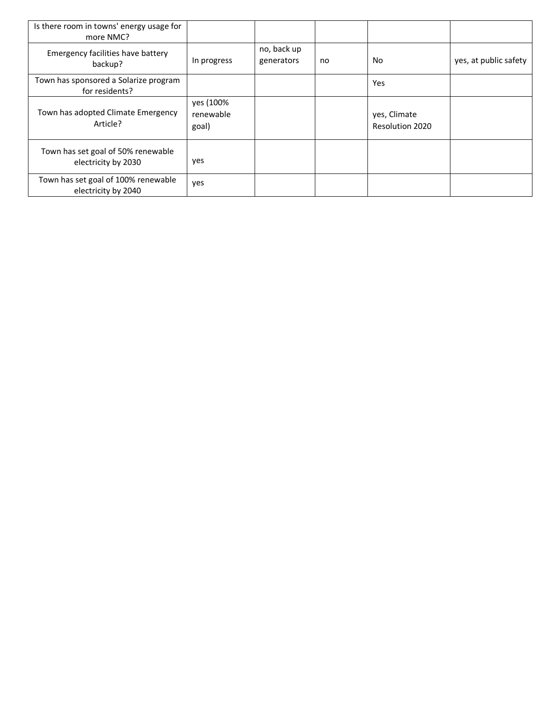| Is there room in towns' energy usage for<br>more NMC?      |                                 |                           |    |                                 |                       |
|------------------------------------------------------------|---------------------------------|---------------------------|----|---------------------------------|-----------------------|
| Emergency facilities have battery<br>backup?               | In progress                     | no, back up<br>generators | no | No.                             | yes, at public safety |
| Town has sponsored a Solarize program<br>for residents?    |                                 |                           |    | Yes                             |                       |
| Town has adopted Climate Emergency<br>Article?             | yes (100%<br>renewable<br>goal) |                           |    | yes, Climate<br>Resolution 2020 |                       |
| Town has set goal of 50% renewable<br>electricity by 2030  | yes                             |                           |    |                                 |                       |
| Town has set goal of 100% renewable<br>electricity by 2040 | yes                             |                           |    |                                 |                       |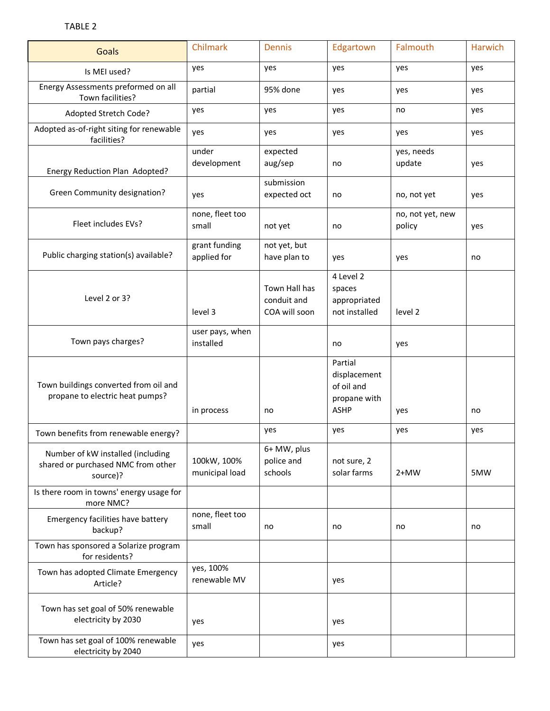| <b>Goals</b>                                                                        | Chilmark                      | Dennis                                        | Edgartown                                                            | Falmouth                   | Harwich |
|-------------------------------------------------------------------------------------|-------------------------------|-----------------------------------------------|----------------------------------------------------------------------|----------------------------|---------|
| Is MEI used?                                                                        | yes                           | yes                                           | yes                                                                  | yes                        | yes     |
| Energy Assessments preformed on all<br>Town facilities?                             | partial                       | 95% done                                      | yes                                                                  | yes                        | yes     |
| Adopted Stretch Code?                                                               | yes                           | yes                                           | yes                                                                  | no                         | yes     |
| Adopted as-of-right siting for renewable<br>facilities?                             | yes                           | yes                                           | yes                                                                  | yes                        | yes     |
| Energy Reduction Plan Adopted?                                                      | under<br>development          | expected<br>aug/sep                           | no                                                                   | yes, needs<br>update       | yes     |
| Green Community designation?                                                        | yes                           | submission<br>expected oct                    | no                                                                   | no, not yet                | yes     |
| Fleet includes EVs?                                                                 | none, fleet too<br>small      | not yet                                       | no                                                                   | no, not yet, new<br>policy | yes     |
| Public charging station(s) available?                                               | grant funding<br>applied for  | not yet, but<br>have plan to                  | yes                                                                  | yes                        | no      |
| Level 2 or 3?                                                                       | level 3                       | Town Hall has<br>conduit and<br>COA will soon | 4 Level 2<br>spaces<br>appropriated<br>not installed                 | level 2                    |         |
| Town pays charges?                                                                  | user pays, when<br>installed  |                                               | no                                                                   | yes                        |         |
| Town buildings converted from oil and<br>propane to electric heat pumps?            | in process                    | no                                            | Partial<br>displacement<br>of oil and<br>propane with<br><b>ASHP</b> | yes                        | no      |
| Town benefits from renewable energy?                                                |                               | yes                                           | yes                                                                  | yes                        | yes     |
| Number of kW installed (including<br>shared or purchased NMC from other<br>source)? | 100kW, 100%<br>municipal load | 6+ MW, plus<br>police and<br>schools          | not sure, 2<br>solar farms                                           | $2+MW$                     | 5MW     |
| Is there room in towns' energy usage for<br>more NMC?                               |                               |                                               |                                                                      |                            |         |
| Emergency facilities have battery<br>backup?                                        | none, fleet too<br>small      | no                                            | no                                                                   | no                         | no      |
| Town has sponsored a Solarize program<br>for residents?                             |                               |                                               |                                                                      |                            |         |
| Town has adopted Climate Emergency<br>Article?                                      | yes, 100%<br>renewable MV     |                                               | yes                                                                  |                            |         |
| Town has set goal of 50% renewable<br>electricity by 2030                           | yes                           |                                               | yes                                                                  |                            |         |
| Town has set goal of 100% renewable<br>electricity by 2040                          | yes                           |                                               | yes                                                                  |                            |         |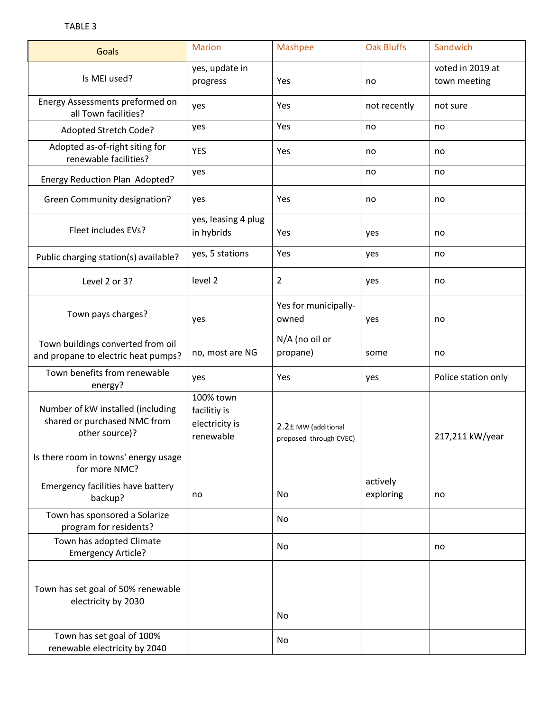| Goals                                                                               | <b>Marion</b>                                            | <b>Mashpee</b>                                | <b>Oak Bluffs</b>     | Sandwich                         |
|-------------------------------------------------------------------------------------|----------------------------------------------------------|-----------------------------------------------|-----------------------|----------------------------------|
| Is MEI used?                                                                        | yes, update in<br>progress                               | Yes                                           | no                    | voted in 2019 at<br>town meeting |
| Energy Assessments preformed on<br>all Town facilities?                             | yes                                                      | Yes                                           | not recently          | not sure                         |
| Adopted Stretch Code?                                                               | yes                                                      | Yes                                           | no                    | no                               |
| Adopted as-of-right siting for<br>renewable facilities?                             | <b>YES</b>                                               | Yes                                           | no                    | no                               |
| Energy Reduction Plan Adopted?                                                      | yes                                                      |                                               | no                    | no                               |
| Green Community designation?                                                        | yes                                                      | Yes                                           | no                    | no                               |
| Fleet includes EVs?                                                                 | yes, leasing 4 plug<br>in hybrids                        | Yes                                           | yes                   | no                               |
| Public charging station(s) available?                                               | yes, 5 stations                                          | Yes                                           | yes                   | no                               |
| Level 2 or 3?                                                                       | level 2                                                  | $\overline{2}$                                | yes                   | no                               |
| Town pays charges?                                                                  | yes                                                      | Yes for municipally-<br>owned                 | yes                   | no                               |
| Town buildings converted from oil<br>and propane to electric heat pumps?            | no, most are NG                                          | N/A (no oil or<br>propane)                    | some                  | no                               |
| Town benefits from renewable<br>energy?                                             | yes                                                      | Yes                                           | yes                   | Police station only              |
| Number of kW installed (including<br>shared or purchased NMC from<br>other source)? | 100% town<br>facilitiy is<br>electricity is<br>renewable | 2.2± MW (additional<br>proposed through CVEC) |                       | 217,211 kW/year                  |
| Is there room in towns' energy usage<br>for more NMC?                               |                                                          |                                               |                       |                                  |
| Emergency facilities have battery<br>backup?                                        | no                                                       | No                                            | actively<br>exploring | no                               |
| Town has sponsored a Solarize<br>program for residents?                             |                                                          | No                                            |                       |                                  |
| Town has adopted Climate<br><b>Emergency Article?</b>                               |                                                          | No                                            |                       | no                               |
| Town has set goal of 50% renewable<br>electricity by 2030                           |                                                          | No                                            |                       |                                  |
| Town has set goal of 100%<br>renewable electricity by 2040                          |                                                          | No                                            |                       |                                  |